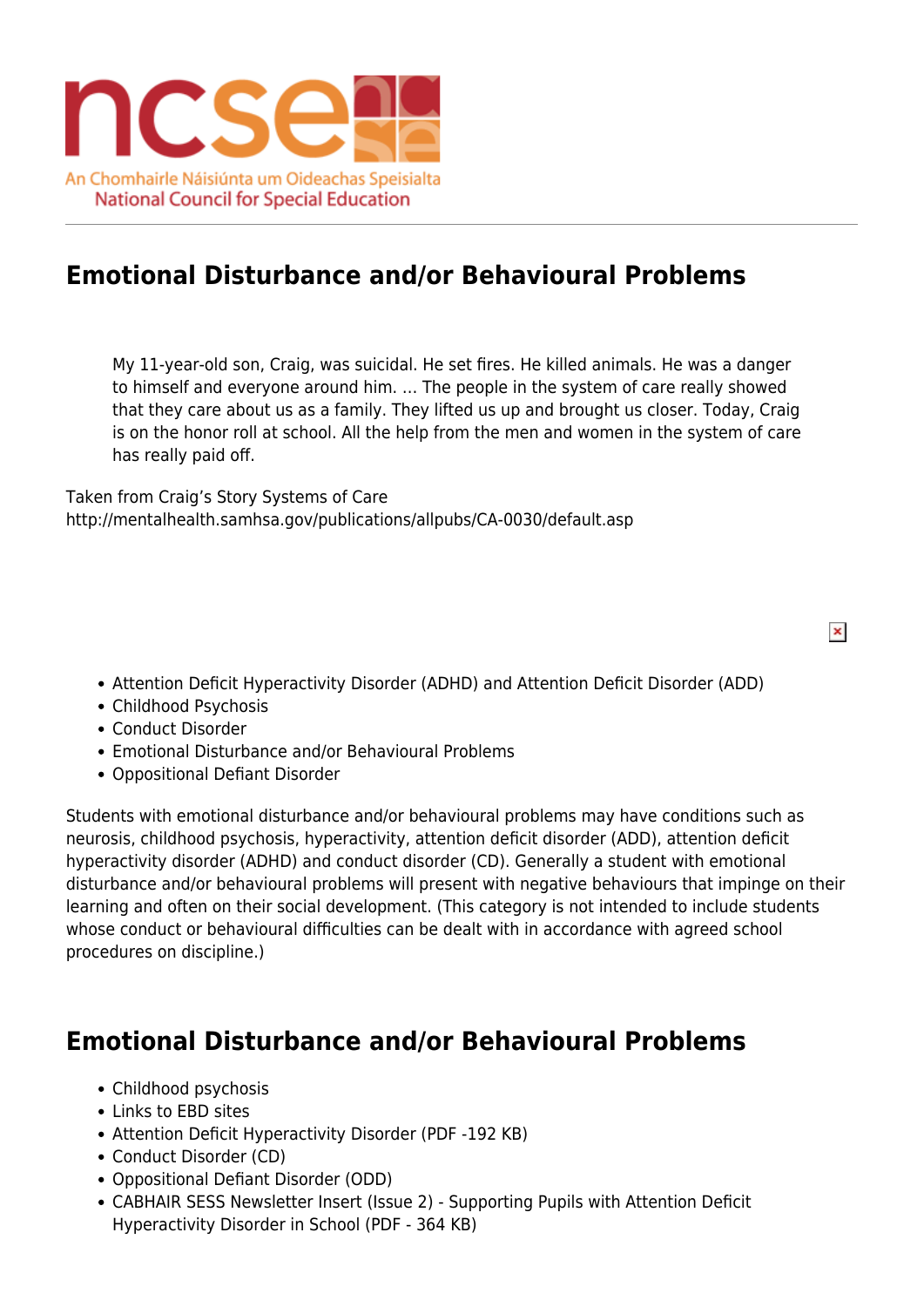

## **Emotional Disturbance and/or Behavioural Problems**

My 11-year-old son, Craig, was suicidal. He set fires. He killed animals. He was a danger to himself and everyone around him. … The people in the system of care really showed that they care about us as a family. They lifted us up and brought us closer. Today, Craig is on the honor roll at school. All the help from the men and women in the system of care has really paid off.

Taken from Craig's Story Systems of Care http://mentalhealth.samhsa.gov/publications/allpubs/CA-0030/default.asp

Attention Deficit Hyperactivity Disorder (ADHD) and Attention Deficit Disorder (ADD)

 $\pmb{\times}$ 

- Childhood Psychosis
- Conduct Disorder
- Emotional Disturbance and/or Behavioural Problems
- Oppositional Defiant Disorder

Students with emotional disturbance and/or behavioural problems may have conditions such as neurosis, childhood psychosis, hyperactivity, attention deficit disorder (ADD), attention deficit hyperactivity disorder (ADHD) and conduct disorder (CD). Generally a student with emotional disturbance and/or behavioural problems will present with negative behaviours that impinge on their learning and often on their social development. (This category is not intended to include students whose conduct or behavioural difficulties can be dealt with in accordance with agreed school procedures on discipline.)

## **Emotional Disturbance and/or Behavioural Problems**

- Childhood psychosis
- Links to EBD sites
- Attention Deficit Hyperactivity Disorder (PDF -192 KB)
- Conduct Disorder (CD)
- Oppositional Defiant Disorder (ODD)
- CABHAIR SESS Newsletter Insert (Issue 2) Supporting Pupils with Attention Deficit Hyperactivity Disorder in School (PDF - 364 KB)